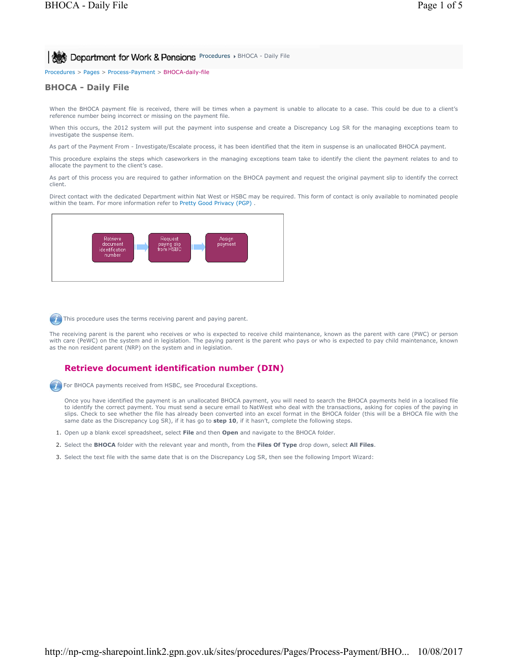**PROCE** Department for Work & Pensions Procedures > BHOCA - Daily File

Procedures > Pages > Process-Payment > BHOCA-daily-file

## **BHOCA - Daily File**

When the BHOCA payment file is received, there will be times when a payment is unable to allocate to a case. This could be due to a client's reference number being incorrect or missing on the payment file.

When this occurs, the 2012 system will put the payment into suspense and create a Discrepancy Log SR for the managing exceptions team to investigate the suspense item.

As part of the Payment From - Investigate/Escalate process, it has been identified that the item in suspense is an unallocated BHOCA payment.

This procedure explains the steps which caseworkers in the managing exceptions team take to identify the client the payment relates to and to allocate the payment to the client's case.

As part of this process you are required to gather information on the BHOCA payment and request the original payment slip to identify the correct client.

Direct contact with the dedicated Department within Nat West or HSBC may be required. This form of contact is only available to nominated people within the team. For more information refer to Pretty Good Privacy (PGP) .



This procedure uses the terms receiving parent and paying parent.

The receiving parent is the parent who receives or who is expected to receive child maintenance, known as the parent with care (PWC) or person with care (PeWC) on the system and in legislation. The paying parent is the parent who pays or who is expected to pay child maintenance, known as the non resident parent (NRP) on the system and in legislation.

# **Retrieve document identification number (DIN)**

**For BHOCA payments received from HSBC, see Procedural Exceptions.** 

Once you have identified the payment is an unallocated BHOCA payment, you will need to search the BHOCA payments held in a localised file to identify the correct payment. You must send a secure email to NatWest who deal with the transactions, asking for copies of the paying in slips. Check to see whether the file has already been converted into an excel format in the BHOCA folder (this will be a BHOCA file with the same date as the Discrepancy Log SR), if it has go to **step 10**, if it hasn't, complete the following steps.

- 1. Open up a blank excel spreadsheet, select **File** and then **Open** and navigate to the BHOCA folder.
- 2. Select the **BHOCA** folder with the relevant year and month, from the **Files Of Type** drop down, select **All Files**.
- 3. Select the text file with the same date that is on the Discrepancy Log SR, then see the following Import Wizard: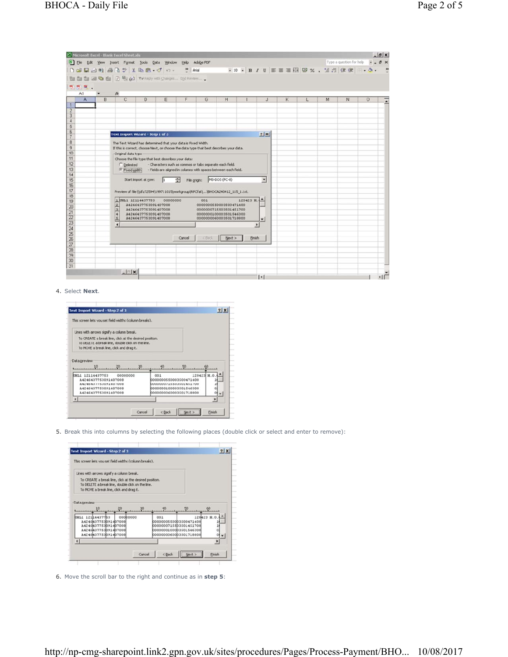|                                  |   | Microsoft Excel - Blank Excel Sheet.xls                      |                                                                                         |          |                                                          |                                                  |                       |           |                          |   |   |    | $-B$ $\times$                                             |  |
|----------------------------------|---|--------------------------------------------------------------|-----------------------------------------------------------------------------------------|----------|----------------------------------------------------------|--------------------------------------------------|-----------------------|-----------|--------------------------|---|---|----|-----------------------------------------------------------|--|
|                                  |   | File Edit Vew Insert Format Tools Data Window Help Adobe PDF |                                                                                         |          |                                                          |                                                  |                       |           |                          |   |   |    | Type a question for help $\mathbf{v} = \mathbf{B} \times$ |  |
|                                  |   |                                                              |                                                                                         |          |                                                          |                                                  |                       |           |                          |   |   |    |                                                           |  |
|                                  |   | 图 图 图 回 图 图 问 Windy with Changes End Review                  |                                                                                         |          |                                                          |                                                  |                       |           |                          |   |   |    |                                                           |  |
|                                  |   |                                                              |                                                                                         |          |                                                          |                                                  |                       |           |                          |   |   |    |                                                           |  |
| 我想来。<br>A1                       |   | fx.                                                          |                                                                                         |          |                                                          |                                                  |                       |           |                          |   |   |    |                                                           |  |
| $\mathsf{A}$                     | B | C                                                            | D                                                                                       | E        | F                                                        | G                                                | H                     |           | $\mathbf{J}$             | ĸ | M | N. | $\circ$                                                   |  |
|                                  |   |                                                              |                                                                                         |          |                                                          |                                                  |                       |           |                          |   |   |    |                                                           |  |
| $\overline{2}$                   |   |                                                              |                                                                                         |          |                                                          |                                                  |                       |           |                          |   |   |    |                                                           |  |
| $\overline{3}$<br>$\overline{4}$ |   |                                                              |                                                                                         |          |                                                          |                                                  |                       |           |                          |   |   |    |                                                           |  |
| 5                                |   |                                                              |                                                                                         |          |                                                          |                                                  |                       |           |                          |   |   |    |                                                           |  |
| $\overline{6}$                   |   |                                                              |                                                                                         |          |                                                          |                                                  |                       |           |                          |   |   |    |                                                           |  |
|                                  |   | Text Import Wizard - Step 1 of 3                             |                                                                                         |          |                                                          |                                                  |                       |           | 7 x                      |   |   |    |                                                           |  |
| 8                                |   |                                                              | The Text Wizard has determined that your data is Fixed Width.                           |          |                                                          |                                                  |                       |           |                          |   |   |    |                                                           |  |
| $\overline{9}$                   |   |                                                              | If this is correct, choose Next, or choose the data type that best describes your data. |          |                                                          |                                                  |                       |           |                          |   |   |    |                                                           |  |
| 10<br>11                         |   | Original data type                                           |                                                                                         |          |                                                          |                                                  |                       |           |                          |   |   |    |                                                           |  |
| 12                               |   |                                                              | Choose the file type that best describes your data:                                     |          | - Characters such as commas or tabs separate each field. |                                                  |                       |           |                          |   |   |    |                                                           |  |
| 13                               |   | C Delinited                                                  | Fixed width - Fields are aligned in columns with spaces between each field.             |          |                                                          |                                                  |                       |           |                          |   |   |    |                                                           |  |
| 14                               |   |                                                              |                                                                                         |          |                                                          |                                                  |                       |           |                          |   |   |    |                                                           |  |
| 15                               |   |                                                              | Start import at row:                                                                    |          | File origin: MS-DOS (PC-8)                               |                                                  |                       |           | $\overline{\phantom{a}}$ |   |   |    |                                                           |  |
| 16                               |   |                                                              |                                                                                         |          |                                                          |                                                  |                       |           |                          |   |   |    |                                                           |  |
| 17                               |   |                                                              | Preview of file \\dfz72594\199711015\workgroup\RPCfat\\BHOCA240412_115_1.bit.           |          |                                                          |                                                  |                       |           |                          |   |   |    |                                                           |  |
| 18<br>19                         |   |                                                              | 1 UHL1 12114437753                                                                      | 00000000 |                                                          | 001                                              |                       | 120423 H. |                          |   |   |    |                                                           |  |
| 20                               |   |                                                              | A4246437753091407008                                                                    |          |                                                          | 0000000550003500471400                           |                       |           |                          |   |   |    |                                                           |  |
| 21                               |   | lon de los pos                                               | A4246437753091407008<br>A4246437753091407008                                            |          |                                                          | 0000000715503501451700<br>0000000100003501546300 |                       |           |                          |   |   |    |                                                           |  |
| 22                               |   |                                                              | A4246437753091407008                                                                    |          |                                                          | 0000000060003501718800                           |                       |           | $\overline{\phantom{a}}$ |   |   |    |                                                           |  |
| 23                               |   | $\overline{1}$                                               |                                                                                         |          |                                                          |                                                  |                       |           |                          |   |   |    |                                                           |  |
| 24                               |   |                                                              |                                                                                         |          |                                                          |                                                  |                       |           |                          |   |   |    |                                                           |  |
| 25                               |   |                                                              |                                                                                         |          | Cancel                                                   |                                                  | <back next=""></back> | Einish    |                          |   |   |    |                                                           |  |
| $\overline{26}$<br>27            |   |                                                              |                                                                                         |          |                                                          |                                                  |                       |           |                          |   |   |    |                                                           |  |
| 28                               |   |                                                              |                                                                                         |          |                                                          |                                                  |                       |           |                          |   |   |    |                                                           |  |
| 29                               |   |                                                              |                                                                                         |          |                                                          |                                                  |                       |           |                          |   |   |    |                                                           |  |
| 30                               |   |                                                              |                                                                                         |          |                                                          |                                                  |                       |           |                          |   |   |    |                                                           |  |
| 31                               |   |                                                              |                                                                                         |          |                                                          |                                                  |                       |           |                          |   |   |    |                                                           |  |
|                                  |   | $  $ $ $ $\times$ $ $                                        |                                                                                         |          |                                                          |                                                  |                       |           |                          |   |   |    |                                                           |  |
|                                  |   |                                                              |                                                                                         |          |                                                          |                                                  |                       |           | 11                       |   |   |    | 15                                                        |  |

4. Select **Next**.



5. Break this into columns by selecting the following places (double click or select and enter to remove):

| This screen lets you set field widths (column breaks). |          |        |                                                        |                                                  |             |
|--------------------------------------------------------|----------|--------|--------------------------------------------------------|--------------------------------------------------|-------------|
|                                                        |          |        |                                                        |                                                  |             |
| Lines with arrows signify a column break.              |          |        |                                                        |                                                  |             |
| To CREATE a break line, click at the desired position. |          |        |                                                        |                                                  |             |
| To DELETE a break line, double click on the line.      |          |        |                                                        |                                                  |             |
| To MOVE a break line, click and drag it.               |          |        |                                                        |                                                  |             |
|                                                        |          |        |                                                        |                                                  |             |
| Data preview                                           |          |        |                                                        |                                                  |             |
|                                                        |          |        |                                                        |                                                  |             |
| IBIL1 12104437753                                      | 00000000 |        | 001                                                    |                                                  | 120423 H.O. |
| A4246437753091407008<br>A4246437753091407008           |          |        |                                                        | 0000000550003500471400<br>0000000715503501451700 |             |
| A4246437753091407008                                   |          |        |                                                        | 0000000100003501546300                           |             |
|                                                        |          |        |                                                        | 0000000060003501718800                           |             |
| A4246437753D914D7008                                   |          |        |                                                        |                                                  | ٠           |
|                                                        |          |        |                                                        |                                                  |             |
|                                                        |          |        |                                                        |                                                  |             |
|                                                        |          | Cancel | <back< td=""><td>Next &gt;</td><td>Finish</td></back<> | Next >                                           | Finish      |

6. Move the scroll bar to the right and continue as in **step 5**: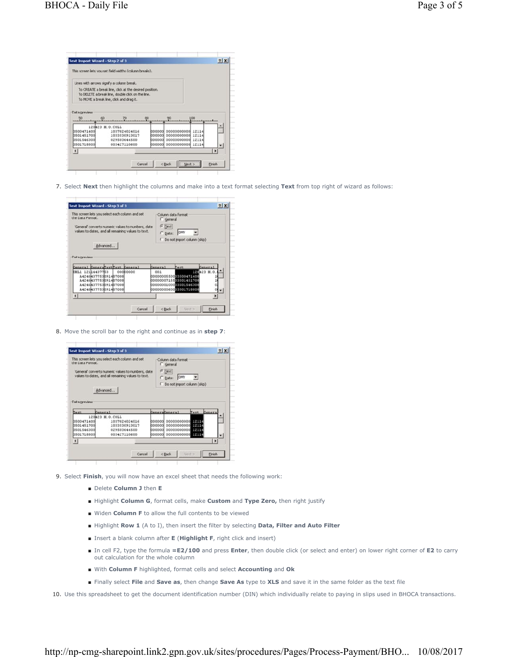|                          | This screen lets you set field widths (column breaks).                                                                                                  |        |                                               |          |                |
|--------------------------|---------------------------------------------------------------------------------------------------------------------------------------------------------|--------|-----------------------------------------------|----------|----------------|
|                          | Lines with arrows signify a column break.                                                                                                               |        |                                               |          |                |
|                          | To CREATE a break line, click at the desired position.<br>To DELETE a break line, double click on the line.<br>To MOVE a break line, click and drag it. |        |                                               |          |                |
| Data preview<br>50<br>60 |                                                                                                                                                         |        |                                               | $\Omega$ |                |
|                          | 120423 H.O.COLL                                                                                                                                         |        |                                               |          |                |
| 3500471400<br>3501451700 | 1037824024016<br>1033530913017                                                                                                                          | pooooo | 000000 00000000000 12114<br>00000000000 12114 |          |                |
| 3501546300<br>0501718800 | 029503644500<br>003427110600                                                                                                                            | ooood  | 00000000000 12114<br>000000 00000000000 12114 |          |                |
| $\overline{ }$           |                                                                                                                                                         |        |                                               |          | $\blacksquare$ |
|                          |                                                                                                                                                         |        |                                               |          |                |

7. Select **Next** then highlight the columns and make into a text format selecting **Text** from top right of wizard as follows:

| $G$ Text |                                                  |                                                                                                                   |
|----------|--------------------------------------------------|-------------------------------------------------------------------------------------------------------------------|
|          |                                                  |                                                                                                                   |
| Ceneral  |                                                  | Ceneral                                                                                                           |
| 001      |                                                  | RG423 H.O.                                                                                                        |
|          | 0000000715503501451700                           |                                                                                                                   |
|          |                                                  |                                                                                                                   |
|          | 0000000100003501546300<br>0000000060003501718800 |                                                                                                                   |
|          | C Date:                                          | Column data format<br>C General<br><b>DMY</b><br>C Do not import column (skip)<br>Text.<br>0000000550003500471400 |

8. Move the scroll bar to the right and continue as in **step 7**:

| the Data Format.                                                      | This screen lets you select each column and set<br>'General' converts numeric values to numbers, date<br>values to dates, and all remaining values to text. |        | Column data format<br>General<br>$G$ [ext]<br><b>DMY</b><br>C Date:<br>C Do not import column (skip) |      |              |
|-----------------------------------------------------------------------|-------------------------------------------------------------------------------------------------------------------------------------------------------------|--------|------------------------------------------------------------------------------------------------------|------|--------------|
|                                                                       | Advanced                                                                                                                                                    |        |                                                                                                      |      |              |
|                                                                       |                                                                                                                                                             |        |                                                                                                      |      |              |
|                                                                       | Ceneral                                                                                                                                                     |        | CeneraCeneral                                                                                        | Toxt | Ceneral      |
|                                                                       | 120423 N.O.COLL                                                                                                                                             |        |                                                                                                      |      |              |
|                                                                       | 1037824024016                                                                                                                                               |        | <b>DOOOOO 00000000000 FEE</b>                                                                        |      |              |
|                                                                       | 1033530913017                                                                                                                                               | 000000 |                                                                                                      |      |              |
| Data preview<br>Text<br>0500471400<br><b>bs01451700</b><br>3501546300 | 029503644500                                                                                                                                                |        | <b>booooo</b> 00000000000 <b>1211</b>                                                                |      |              |
| 3501718800                                                            | 003427110600                                                                                                                                                |        | D00000 00000000000 1011                                                                              |      |              |
| н                                                                     |                                                                                                                                                             |        |                                                                                                      |      | $\mathbf{H}$ |
|                                                                       |                                                                                                                                                             |        |                                                                                                      |      |              |

- 9. Select **Finish**, you will now have an excel sheet that needs the following work:
	- Delete **Column J** then **E**
	- Highlight **Column G**, format cells, make **Custom** and **Type Zero,** then right justify
	- Widen **Column F** to allow the full contents to be viewed
	- Highlight **Row 1** (A to I), then insert the filter by selecting **Data, Filter and Auto Filter**
	- Insert a blank column after **E** (Highlight F, right click and insert)
	- In cell F2, type the formula =**E2/100** and press **Enter**, then double click (or select and enter) on lower right corner of **E2** to carry out calculation for the whole column
	- With **Column F** highlighted, format cells and select **Accounting** and **Ok**
	- Finally select **File** and **Save as**, then change **Save As** type to **XLS** and save it in the same folder as the text file

10. Use this spreadsheet to get the document identification number (DIN) which individually relate to paying in slips used in BHOCA transactions.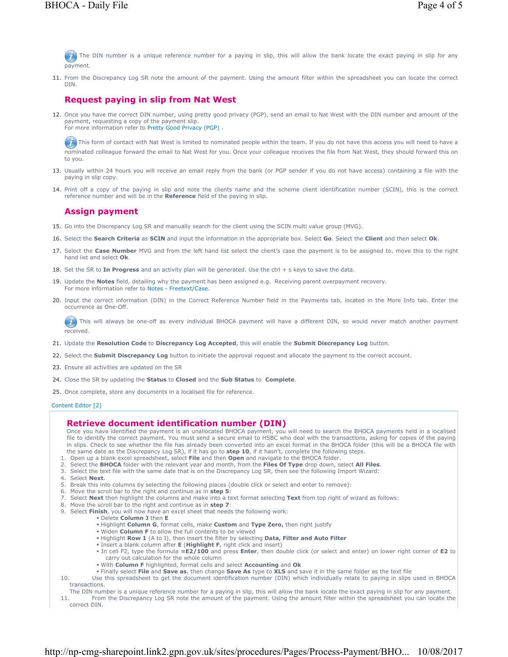The DIN number is a unique reference number for a paying in slip, this will allow the bank locate the exact paying in slip for any payment.

11. From the Discrepancy Log SR note the amount of the payment. Using the amount filter within the spreadsheet you can locate the correct DIN.

### **Request paying in slip from Nat West**

12. Once you have the correct DIN number, using pretty good privacy (PGP), send an email to Nat West with the DIN number and amount of the payment, requesting a copy of the payment slip. For more information refer to Pretty Good Privacy (PGP) .

This form of contact with Nat West is limited to nominated people within the team. If you do not have this access you will need to have a nominated colleague forward the email to Nat West for you. Once your colleague receives the file from Nat West, they should forward this on to you.

- 13. Usually within 24 hours you will receive an email reply from the bank (or PGP sender if you do not have access) containing a file with the paying in slip copy.
- 14. Print off a copy of the paying in slip and note the clients name and the scheme client identification number (SCIN), this is the correct reference number and will be in the **Reference** field of the paying in slip.

# **Assign payment**

- 15. Go into the Discrepancy Log SR and manually search for the client using the SCIN multi value group (MVG).
- 16. Select the **Search Criteria** as **SCIN** and input the information in the appropriate box. Select **Go**. Select the **Client** and then select **Ok**.
- 17. Select the **Case Number** MVG and from the left hand list select the client's case the payment is to be assigned to, move this to the right hand list and select **Ok**.
- 18. Set the SR to **In Progress** and an activity plan will be generated. Use the ctrl + s keys to save the data.
- 19. Update the **Notes** field, detailing why the payment has been assigned e.g. Receiving parent overpayment recovery. For more information refer to Notes - Freetext/Case.
- 20. Input the correct information (DIN) in the Correct Reference Number field in the Payments tab, located in the More Info tab. Enter the occurrence as One-Off.

This will always be one-off as every individual BHOCA payment will have a different DIN, so would never match another payment received.

- 21. Update the **Resolution Code** to **Discrepancy Log Accepted**, this will enable the **Submit Discrepancy Log** button.
- 22. Select the **Submit Discrepancy Log** button to initiate the approval request and allocate the payment to the correct account.
- 23. Ensure all activities are updated on the SR
- 24. Close the SR by updating the **Status** to **Closed** and the **Sub Status** to **Complete**.
- 25. Once complete, store any documents in a localised file for reference.

Content Editor [2]

### **Retrieve document identification number (DIN)**

Once you have identified the payment is an unallocated BHOCA payment, you will need to search the BHOCA payments held in a localised file to identify the correct payment. You must send a secure email to HSBC who deal with the transactions, asking for copies of the paying in slips. Check to see whether the file has already been converted into an excel format in the BHOCA folder (this will be a BHOCA file with the same date as the Discrepancy Log SR), if it has go to **step 10**, if it hasn't, complete the following steps.

1. Open up a blank excel spreadsheet, select **File** and then **Open** and navigate to the BHOCA folder.

- 2. Select the **BHOCA** folder with the relevant year and month, from the **Files Of Type** drop down, select **All Files**.
- 3. Select the text file with the same date that is on the Discrepancy Log SR, then see the following Import Wizard:
- 4. Select **Next**.
- 5. Break this into columns by selecting the following places (double click or select and enter to remove):
- 6. Move the scroll bar to the right and continue as in **step 5**:
- 7. Select **Next** then highlight the columns and make into a text format selecting **Text** from top right of wizard as follows:
- 8. Move the scroll bar to the right and continue as in **step 7**:
- 9. Select **Finish**, you will now have an excel sheet that needs the following work:
	- Delete **Column J** then **E**
	- Highlight **Column G**, format cells, make **Custom** and **Type Zero,** then right justify
	- Widen **Column F** to allow the full contents to be viewed Highlight **Row 1** (A to I), then insert the filter by selecting **Data, Filter and Auto Filter**
	- Insert a blank column after **E** (**Highlight F**, right click and insert)
	- In cell F2, type the formula **=E2/100** and press **Enter**, then double click (or select and enter) on lower right corner of **E2** to carry out calculation for the whole column
	- With **Column F** highlighted, format cells and select **Accounting** and **Ok**
	- Finally select **File** and **Save as**, then change **Save As** type to **XLS** and save it in the same folder as the text file
- 10. Use this spreadsheet to get the document identification number (DIN) which individually relate to paying in slips used in BHOCA transactions.

The DIN number is a unique reference number for a paying in slip, this will allow the bank locate the exact paying in slip for any payment.

11. From the Discrepancy Log SR note the amount of the payment. Using the amount filter within the spreadsheet you can locate the correct DIN.